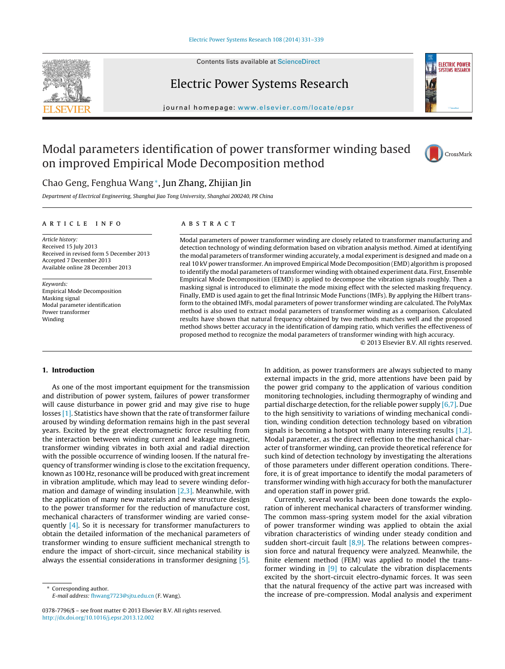

Contents lists available at [ScienceDirect](http://www.sciencedirect.com/science/journal/03787796)

## Electric Power Systems Research



jour nal homepage: [www.elsevier.com/locate/epsr](http://www.elsevier.com/locate/epsr)

## Modal parameters identification of power transformer winding based on improved Empirical Mode Decomposition method



### Chao Geng, Fenghua Wang∗, Jun Zhang, Zhijian Jin

Department of Electrical Engineering, Shanghai Jiao Tong University, Shanghai 200240, PR China

#### ARTICLE INFO

Article history: Received 15 July 2013 Received in revised form 5 December 2013 Accepted 7 December 2013 Available online 28 December 2013

Keywords: Empirical Mode Decomposition Masking signal Modal parameter identification Power transformer Winding

#### a b s t r a c t

Modal parameters of power transformer winding are closely related to transformer manufacturing and detection technology of winding deformation based on vibration analysis method. Aimed at identifying the modal parameters of transformer winding accurately, a modal experiment is designed and made on a real 10 kV power transformer. An improved Empirical Mode Decomposition (EMD) algorithm is proposed to identify the modal parameters of transformer winding with obtained experiment data. First, Ensemble Empirical Mode Decomposition (EEMD) is applied to decompose the vibration signals roughly. Then a masking signal is introduced to eliminate the mode mixing effect with the selected masking frequency. Finally, EMD is used again to get the final Intrinsic Mode Functions (IMFs). By applying the Hilbert transform to the obtained IMFs, modal parameters of power transformer winding are calculated. The PolyMax method is also used to extract modal parameters of transformer winding as a comparison. Calculated results have shown that natural frequency obtained by two methods matches well and the proposed method shows better accuracy in the identification of damping ratio, which verifies the effectiveness of proposed method to recognize the modal parameters of transformer winding with high accuracy.

© 2013 Elsevier B.V. All rights reserved.

#### **1. Introduction**

As one of the most important equipment for the transmission and distribution of power system, failures of power transformer will cause disturbance in power grid and may give rise to huge losses [\[1\].](#page--1-0) Statistics have shown that the rate of transformer failure aroused by winding deformation remains high in the past several years. Excited by the great electromagnetic force resulting from the interaction between winding current and leakage magnetic, transformer winding vibrates in both axial and radial direction with the possible occurrence of winding loosen. If the natural frequency of transformer winding is close to the excitation frequency, known as 100 Hz, resonance will be produced with great increment in vibration amplitude, which may lead to severe winding deformation and damage of winding insulation  $[2,3]$ . Meanwhile, with the application of many new materials and new structure design to the power transformer for the reduction of manufacture cost, mechanical characters of transformer winding are varied consequently [\[4\].](#page--1-0) So it is necessary for transformer manufacturers to obtain the detailed information of the mechanical parameters of transformer winding to ensure sufficient mechanical strength to endure the impact of short-circuit, since mechanical stability is always the essential considerations in transformer designing [\[5\].](#page--1-0)

Corresponding author. E-mail address: [fhwang7723@sjtu.edu.cn](mailto:fhwang7723@sjtu.edu.cn) (F. Wang). In addition, as power transformers are always subjected to many external impacts in the grid, more attentions have been paid by the power grid company to the application of various condition monitoring technologies, including thermography of winding and partial discharge detection, for the reliable power supply  $[6,7]$ . Due to the high sensitivity to variations of winding mechanical condition, winding condition detection technology based on vibration signals is becoming a hotspot with many interesting results [\[1,2\].](#page--1-0) Modal parameter, as the direct reflection to the mechanical character of transformer winding, can provide theoretical reference for such kind of detection technology by investigating the alterations of those parameters under different operation conditions. Therefore, it is of great importance to identify the modal parameters of transformer winding with high accuracy for both the manufacturer and operation staff in power grid.

Currently, several works have been done towards the exploration of inherent mechanical characters of transformer winding. The common mass-spring system model for the axial vibration of power transformer winding was applied to obtain the axial vibration characteristics of winding under steady condition and sudden short-circuit fault [\[8,9\].](#page--1-0) The relations between compression force and natural frequency were analyzed. Meanwhile, the finite element method (FEM) was applied to model the transformer winding in [\[9\]](#page--1-0) to calculate the vibration displacements excited by the short-circuit electro-dynamic forces. It was seen that the natural frequency of the active part was increased with the increase of pre-compression. Modal analysis and experiment

<sup>0378-7796/\$</sup> – see front matter © 2013 Elsevier B.V. All rights reserved. [http://dx.doi.org/10.1016/j.epsr.2013.12.002](dx.doi.org/10.1016/j.epsr.2013.12.002)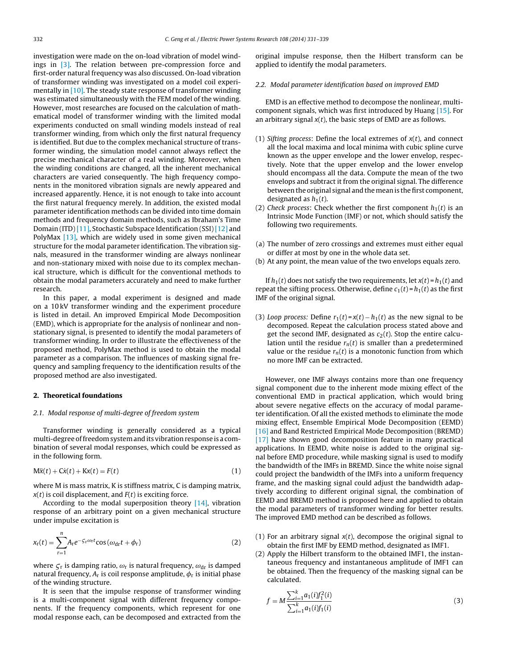investigation were made on the on-load vibration of model windings in [\[3\].](#page--1-0) The relation between pre-compression force and first-order natural frequency was also discussed. On-load vibration of transformer winding was investigated on a model coil experimentally in [\[10\].](#page--1-0) The steady state response of transformer winding was estimated simultaneously with the FEM model of the winding. However, most researches are focused on the calculation of mathematical model of transformer winding with the limited modal experiments conducted on small winding models instead of real transformer winding, from which only the first natural frequency is identified. But due to the complex mechanical structure of transformer winding, the simulation model cannot always reflect the precise mechanical character of a real winding. Moreover, when the winding conditions are changed, all the inherent mechanical characters are varied consequently. The high frequency components in the monitored vibration signals are newly appeared and increased apparently. Hence, it is not enough to take into account the first natural frequency merely. In addition, the existed modal parameter identification methods can be divided into time domain methods and frequency domain methods, such as Ibraham's Time Domain (ITD) [\[11\],](#page--1-0) Stochastic Subspace Identification (SSI) [\[12\]](#page--1-0) and PolyMax [\[13\],](#page--1-0) which are widely used in some given mechanical structure for the modal parameter identification. The vibration signals, measured in the transformer winding are always nonlinear and non-stationary mixed with noise due to its complex mechanical structure, which is difficult for the conventional methods to obtain the modal parameters accurately and need to make further research.

In this paper, a modal experiment is designed and made on a 10 kV transformer winding and the experiment procedure is listed in detail. An improved Empirical Mode Decomposition (EMD), which is appropriate for the analysis of nonlinear and nonstationary signal, is presented to identify the modal parameters of transformer winding. In order to illustrate the effectiveness of the proposed method, PolyMax method is used to obtain the modal parameter as a comparison. The influences of masking signal frequency and sampling frequency to the identification results of the proposed method are also investigated.

#### **2. Theoretical foundations**

#### 2.1. Modal response of multi-degree of freedom system

Transformer winding is generally considered as a typical multi-degree of freedom system and its vibration response is a combination of several modal responses, which could be expressed as in the following form.

$$
M\ddot{x}(t) + C\dot{x}(t) + Kx(t) = F(t)
$$
\n(1)

where M is mass matrix, K is stiffness matrix, C is damping matrix,  $x(t)$  is coil displacement, and  $F(t)$  is exciting force.

According to the modal superposition theory [\[14\],](#page--1-0) vibration response of an arbitrary point on a given mechanical structure under impulse excitation is

$$
x_{r}(t) = \sum_{r=1}^{n} A_{r} e^{-\zeta_{r}\omega_{r}t} \cos(\omega_{dr}t + \phi_{r})
$$
\n(2)

where  $\varsigma_r$  is damping ratio,  $\omega_r$  is natural frequency,  $\omega_{dr}$  is damped natural frequency,  $A_r$  is coil response amplitude,  $\phi_r$  is initial phase of the winding structure.

It is seen that the impulse response of transformer winding is a multi-component signal with different frequency components. If the frequency components, which represent for one modal response each, can be decomposed and extracted from the

original impulse response, then the Hilbert transform can be applied to identify the modal parameters.

#### 2.2. Modal parameter identification based on improved EMD

EMD is an effective method to decompose the nonlinear, multicomponent signals, which was first introduced by Huang [\[15\].](#page--1-0) For an arbitrary signal  $x(t)$ , the basic steps of EMD are as follows.

- (1) Sifting process: Define the local extremes of  $x(t)$ , and connect all the local maxima and local minima with cubic spline curve known as the upper envelope and the lower envelop, respectively. Note that the upper envelop and the lower envelop should encompass all the data. Compute the mean of the two envelops and subtract it from the original signal. The difference between the original signal and the mean is the first component. designated as  $h_1(t)$ .
- (2) Check process: Check whether the first component  $h_1(t)$  is an Intrinsic Mode Function (IMF) or not, which should satisfy the following two requirements.
- (a) The number of zero crossings and extremes must either equal or differ at most by one in the whole data set.
- (b) At any point, the mean value of the two envelops equals zero.

If  $h_1(t)$  does not satisfy the two requirements, let  $x(t) = h_1(t)$  and repeat the sifting process. Otherwise, define  $c_1(t) = h_1(t)$  as the first IMF of the original signal.

(3) Loop process: Define  $r_1(t) = x(t) - h_1(t)$  as the new signal to be decomposed. Repeat the calculation process stated above and get the second IMF, designated as  $c_2(t)$ . Stop the entire calculation until the residue  $r_n(t)$  is smaller than a predetermined value or the residue  $r_n(t)$  is a monotonic function from which no more IMF can be extracted.

However, one IMF always contains more than one frequency signal component due to the inherent mode mixing effect of the conventional EMD in practical application, which would bring about severe negative effects on the accuracy of modal parameter identification. Of all the existed methods to eliminate the mode mixing effect, Ensemble Empirical Mode Decomposition (EEMD) [\[16\]](#page--1-0) and Band Restricted Empirical Mode Decomposition (BREMD) [\[17\]](#page--1-0) have shown good decomposition feature in many practical applications. In EEMD, white noise is added to the original signal before EMD procedure, while masking signal is used to modify the bandwidth of the IMFs in BREMD. Since the white noise signal could project the bandwidth of the IMFs into a uniform frequency frame, and the masking signal could adjust the bandwidth adaptively according to different original signal, the combination of EEMD and BREMD method is proposed here and applied to obtain the modal parameters of transformer winding for better results. The improved EMD method can be described as follows.

- (1) For an arbitrary signal  $x(t)$ , decompose the original signal to obtain the first IMF by EEMD method, designated as IMF1.
- (2) Apply the Hilbert transform to the obtained IMF1, the instantaneous frequency and instantaneous amplitude of IMF1 can be obtained. Then the frequency of the masking signal can be calculated.

$$
f = M \frac{\sum_{i=1}^{k} a_1(i) f_1^2(i)}{\sum_{i=1}^{k} a_1(i) f_1(i)}
$$
(3)